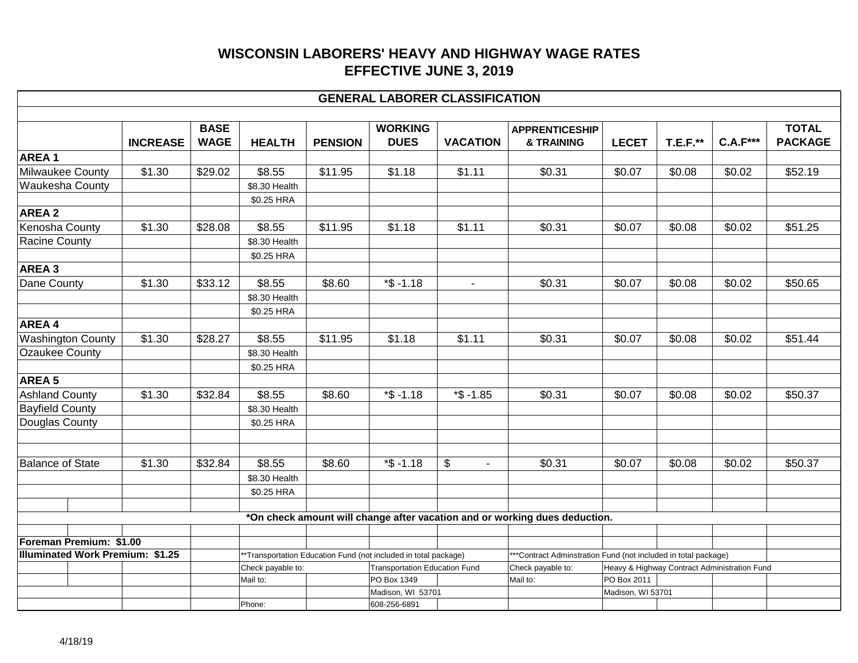|                                                                    |                 |                            |                   |                |                                                                                                         | <b>GENERAL LABORER CLASSIFICATION</b> |                                                                                     |                                                             |                 |                 |                                |
|--------------------------------------------------------------------|-----------------|----------------------------|-------------------|----------------|---------------------------------------------------------------------------------------------------------|---------------------------------------|-------------------------------------------------------------------------------------|-------------------------------------------------------------|-----------------|-----------------|--------------------------------|
|                                                                    | <b>INCREASE</b> | <b>BASE</b><br><b>WAGE</b> | <b>HEALTH</b>     | <b>PENSION</b> | <b>WORKING</b><br><b>DUES</b>                                                                           | <b>VACATION</b>                       | <b>APPRENTICESHIP</b><br>& TRAINING                                                 | <b>LECET</b>                                                | <b>T.E.F.**</b> | <b>C.A.F***</b> | <b>TOTAL</b><br><b>PACKAGE</b> |
| <b>AREA1</b>                                                       |                 |                            |                   |                |                                                                                                         |                                       |                                                                                     |                                                             |                 |                 |                                |
| Milwaukee County                                                   | \$1.30          | \$29.02                    | \$8.55            | \$11.95        | \$1.18                                                                                                  | \$1.11                                | \$0.31                                                                              | \$0.07                                                      | \$0.08          | \$0.02          | \$52.19                        |
| Waukesha County                                                    |                 |                            | \$8.30 Health     |                |                                                                                                         |                                       |                                                                                     |                                                             |                 |                 |                                |
|                                                                    |                 |                            | \$0.25 HRA        |                |                                                                                                         |                                       |                                                                                     |                                                             |                 |                 |                                |
| <b>AREA 2</b>                                                      |                 |                            |                   |                |                                                                                                         |                                       |                                                                                     |                                                             |                 |                 |                                |
| Kenosha County                                                     | \$1.30          | \$28.08                    | \$8.55            | \$11.95        | \$1.18                                                                                                  | \$1.11                                | \$0.31                                                                              | \$0.07                                                      | \$0.08          | \$0.02          | \$51.25                        |
| <b>Racine County</b>                                               |                 |                            | \$8.30 Health     |                |                                                                                                         |                                       |                                                                                     |                                                             |                 |                 |                                |
|                                                                    |                 |                            | \$0.25 HRA        |                |                                                                                                         |                                       |                                                                                     |                                                             |                 |                 |                                |
| AREA 3                                                             |                 |                            |                   |                |                                                                                                         |                                       |                                                                                     |                                                             |                 |                 |                                |
| Dane County                                                        | \$1.30          | \$33.12                    | \$8.55            | \$8.60         | $*$ \$ -1.18                                                                                            | $\blacksquare$                        | \$0.31                                                                              | \$0.07                                                      | \$0.08          | \$0.02          | \$50.65                        |
|                                                                    |                 |                            | \$8.30 Health     |                |                                                                                                         |                                       |                                                                                     |                                                             |                 |                 |                                |
|                                                                    |                 |                            | \$0.25 HRA        |                |                                                                                                         |                                       |                                                                                     |                                                             |                 |                 |                                |
| AREA 4                                                             |                 |                            |                   |                |                                                                                                         |                                       |                                                                                     |                                                             |                 |                 |                                |
| <b>Washington County</b>                                           | \$1.30          | \$28.27                    | \$8.55            | \$11.95        | \$1.18                                                                                                  | \$1.11                                | \$0.31                                                                              | \$0.07                                                      | \$0.08          | \$0.02          | \$51.44                        |
| <b>Ozaukee County</b>                                              |                 |                            | \$8.30 Health     |                |                                                                                                         |                                       |                                                                                     |                                                             |                 |                 |                                |
|                                                                    |                 |                            | \$0.25 HRA        |                |                                                                                                         |                                       |                                                                                     |                                                             |                 |                 |                                |
| AREA <sub>5</sub>                                                  |                 |                            |                   |                |                                                                                                         |                                       |                                                                                     |                                                             |                 |                 |                                |
| <b>Ashland County</b>                                              | \$1.30          | \$32.84                    | \$8.55            | \$8.60         | $*$ \$ -1.18                                                                                            | $*$ \$ -1.85                          | \$0.31                                                                              | \$0.07                                                      | \$0.08          | \$0.02          | \$50.37                        |
| <b>Bayfield County</b>                                             |                 |                            | \$8.30 Health     |                |                                                                                                         |                                       |                                                                                     |                                                             |                 |                 |                                |
| Douglas County                                                     |                 |                            | \$0.25 HRA        |                |                                                                                                         |                                       |                                                                                     |                                                             |                 |                 |                                |
| <b>Balance of State</b>                                            | \$1.30          | \$32.84                    | \$8.55            | \$8.60         | $*$ \$ -1.18                                                                                            | \$<br>$\sim$                          | \$0.31                                                                              | \$0.07                                                      | \$0.08          | \$0.02          | \$50.37                        |
|                                                                    |                 |                            | \$8.30 Health     |                |                                                                                                         |                                       |                                                                                     |                                                             |                 |                 |                                |
|                                                                    |                 |                            | \$0.25 HRA        |                |                                                                                                         |                                       |                                                                                     |                                                             |                 |                 |                                |
|                                                                    |                 |                            |                   |                |                                                                                                         |                                       |                                                                                     |                                                             |                 |                 |                                |
|                                                                    |                 |                            |                   |                |                                                                                                         |                                       | *On check amount will change after vacation and or working dues deduction.          |                                                             |                 |                 |                                |
|                                                                    |                 |                            |                   |                |                                                                                                         |                                       |                                                                                     |                                                             |                 |                 |                                |
| Foreman Premium: \$1.00<br><b>Illuminated Work Premium: \$1.25</b> |                 |                            |                   |                |                                                                                                         |                                       |                                                                                     |                                                             |                 |                 |                                |
|                                                                    |                 |                            | Check payable to: |                | **Transportation Education Fund (not included in total package)<br><b>Transportation Education Fund</b> |                                       | ***Contract Adminstration Fund (not included in total package)<br>Check payable to: |                                                             |                 |                 |                                |
|                                                                    |                 |                            | Mail to:          |                | PO Box 1349                                                                                             |                                       | Mail to:                                                                            | Heavy & Highway Contract Administration Fund<br>PO Box 2011 |                 |                 |                                |
|                                                                    |                 |                            |                   |                | Madison, WI 53701                                                                                       |                                       |                                                                                     | Madison, WI 53701                                           |                 |                 |                                |
|                                                                    |                 |                            | Phone:            |                | 608-256-6891                                                                                            |                                       |                                                                                     |                                                             |                 |                 |                                |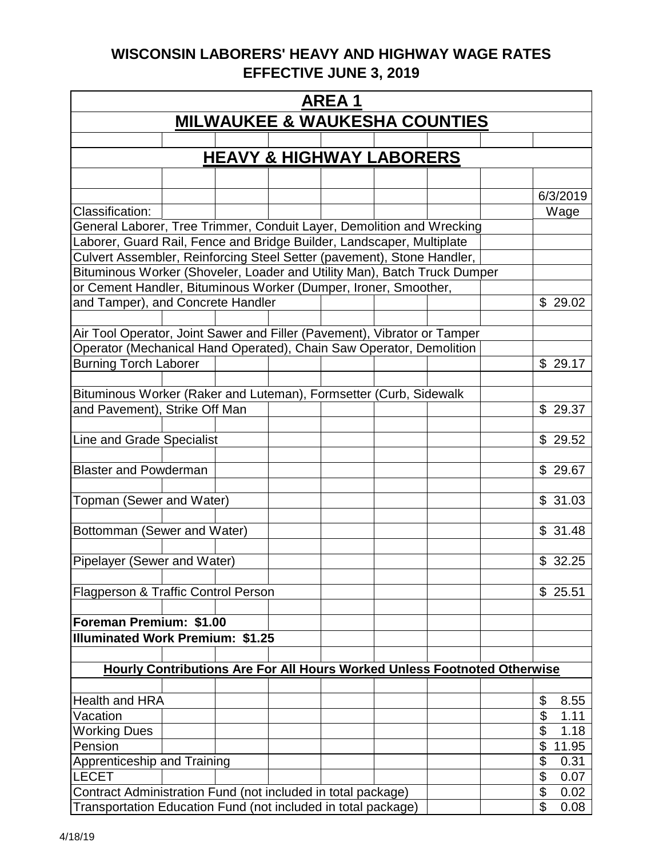| <b>AREA1</b>                                                                                                                                   |                                          |  |  |  |  |  |  |                    |  |  |
|------------------------------------------------------------------------------------------------------------------------------------------------|------------------------------------------|--|--|--|--|--|--|--------------------|--|--|
|                                                                                                                                                | <b>MILWAUKEE &amp; WAUKESHA COUNTIES</b> |  |  |  |  |  |  |                    |  |  |
|                                                                                                                                                |                                          |  |  |  |  |  |  |                    |  |  |
|                                                                                                                                                | <b>HEAVY &amp; HIGHWAY LABORERS</b>      |  |  |  |  |  |  |                    |  |  |
|                                                                                                                                                |                                          |  |  |  |  |  |  |                    |  |  |
|                                                                                                                                                |                                          |  |  |  |  |  |  | 6/3/2019           |  |  |
| Classification:                                                                                                                                |                                          |  |  |  |  |  |  | Wage               |  |  |
|                                                                                                                                                |                                          |  |  |  |  |  |  |                    |  |  |
| General Laborer, Tree Trimmer, Conduit Layer, Demolition and Wrecking<br>Laborer, Guard Rail, Fence and Bridge Builder, Landscaper, Multiplate |                                          |  |  |  |  |  |  |                    |  |  |
| Culvert Assembler, Reinforcing Steel Setter (pavement), Stone Handler,                                                                         |                                          |  |  |  |  |  |  |                    |  |  |
| Bituminous Worker (Shoveler, Loader and Utility Man), Batch Truck Dumper                                                                       |                                          |  |  |  |  |  |  |                    |  |  |
| or Cement Handler, Bituminous Worker (Dumper, Ironer, Smoother,                                                                                |                                          |  |  |  |  |  |  |                    |  |  |
| and Tamper), and Concrete Handler                                                                                                              |                                          |  |  |  |  |  |  | \$29.02            |  |  |
|                                                                                                                                                |                                          |  |  |  |  |  |  |                    |  |  |
| Air Tool Operator, Joint Sawer and Filler (Pavement), Vibrator or Tamper                                                                       |                                          |  |  |  |  |  |  |                    |  |  |
| Operator (Mechanical Hand Operated), Chain Saw Operator, Demolition                                                                            |                                          |  |  |  |  |  |  |                    |  |  |
| <b>Burning Torch Laborer</b>                                                                                                                   |                                          |  |  |  |  |  |  | \$29.17            |  |  |
|                                                                                                                                                |                                          |  |  |  |  |  |  |                    |  |  |
| Bituminous Worker (Raker and Luteman), Formsetter (Curb, Sidewalk                                                                              |                                          |  |  |  |  |  |  |                    |  |  |
| and Pavement), Strike Off Man                                                                                                                  |                                          |  |  |  |  |  |  | \$29.37            |  |  |
|                                                                                                                                                |                                          |  |  |  |  |  |  |                    |  |  |
| Line and Grade Specialist                                                                                                                      |                                          |  |  |  |  |  |  | \$29.52            |  |  |
| <b>Blaster and Powderman</b>                                                                                                                   |                                          |  |  |  |  |  |  | \$29.67            |  |  |
|                                                                                                                                                |                                          |  |  |  |  |  |  |                    |  |  |
| Topman (Sewer and Water)                                                                                                                       |                                          |  |  |  |  |  |  | \$31.03            |  |  |
|                                                                                                                                                |                                          |  |  |  |  |  |  |                    |  |  |
| Bottomman (Sewer and Water)                                                                                                                    |                                          |  |  |  |  |  |  | \$31.48            |  |  |
|                                                                                                                                                |                                          |  |  |  |  |  |  |                    |  |  |
| Pipelayer (Sewer and Water)                                                                                                                    |                                          |  |  |  |  |  |  | \$32.25            |  |  |
|                                                                                                                                                |                                          |  |  |  |  |  |  |                    |  |  |
| Flagperson & Traffic Control Person                                                                                                            |                                          |  |  |  |  |  |  | \$25.51            |  |  |
|                                                                                                                                                |                                          |  |  |  |  |  |  |                    |  |  |
| Foreman Premium: \$1.00                                                                                                                        |                                          |  |  |  |  |  |  |                    |  |  |
| <b>Illuminated Work Premium: \$1.25</b>                                                                                                        |                                          |  |  |  |  |  |  |                    |  |  |
|                                                                                                                                                |                                          |  |  |  |  |  |  |                    |  |  |
| <b>Hourly Contributions Are For All Hours Worked Unless Footnoted Otherwise</b>                                                                |                                          |  |  |  |  |  |  |                    |  |  |
|                                                                                                                                                |                                          |  |  |  |  |  |  |                    |  |  |
| <b>Health and HRA</b>                                                                                                                          |                                          |  |  |  |  |  |  | \$<br>8.55         |  |  |
| Vacation                                                                                                                                       |                                          |  |  |  |  |  |  | \$<br>1.11         |  |  |
| <b>Working Dues</b>                                                                                                                            |                                          |  |  |  |  |  |  | 1.18<br>\$         |  |  |
| Pension                                                                                                                                        |                                          |  |  |  |  |  |  | \$<br>11.95        |  |  |
| Apprenticeship and Training                                                                                                                    |                                          |  |  |  |  |  |  | \$<br>0.31         |  |  |
| <b>LECET</b>                                                                                                                                   |                                          |  |  |  |  |  |  | \$<br>0.07<br>\$   |  |  |
| Contract Administration Fund (not included in total package)<br>Transportation Education Fund (not included in total package)                  |                                          |  |  |  |  |  |  | 0.02<br>\$<br>0.08 |  |  |
|                                                                                                                                                |                                          |  |  |  |  |  |  |                    |  |  |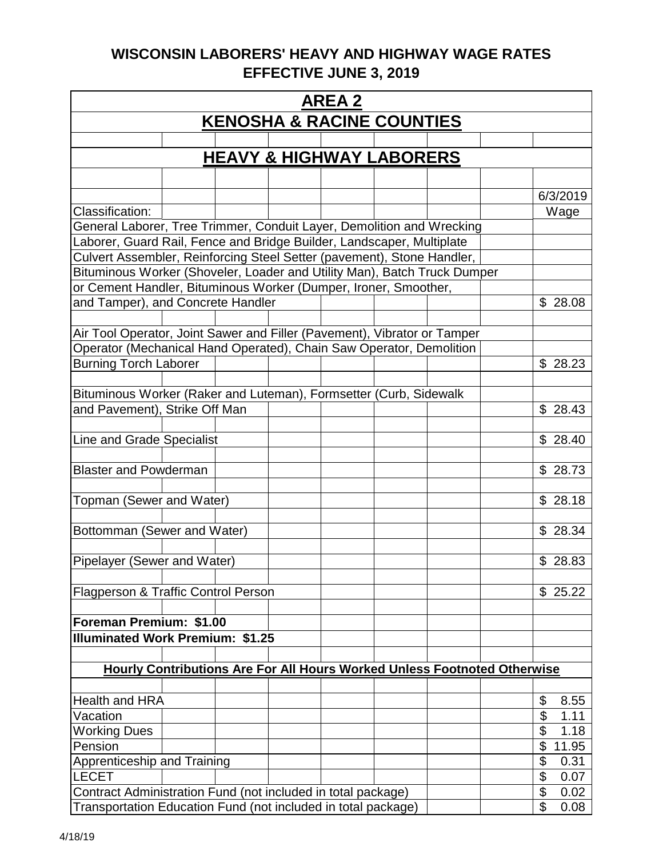| <b>AREA 2</b>                                                                                                                                  |  |  |  |  |  |  |                                                                          |          |  |  |
|------------------------------------------------------------------------------------------------------------------------------------------------|--|--|--|--|--|--|--------------------------------------------------------------------------|----------|--|--|
| <b>KENOSHA &amp; RACINE COUNTIES</b>                                                                                                           |  |  |  |  |  |  |                                                                          |          |  |  |
|                                                                                                                                                |  |  |  |  |  |  |                                                                          |          |  |  |
| <b>HEAVY &amp; HIGHWAY LABORERS</b>                                                                                                            |  |  |  |  |  |  |                                                                          |          |  |  |
|                                                                                                                                                |  |  |  |  |  |  |                                                                          |          |  |  |
|                                                                                                                                                |  |  |  |  |  |  |                                                                          | 6/3/2019 |  |  |
| Classification:                                                                                                                                |  |  |  |  |  |  |                                                                          | Wage     |  |  |
|                                                                                                                                                |  |  |  |  |  |  |                                                                          |          |  |  |
| General Laborer, Tree Trimmer, Conduit Layer, Demolition and Wrecking<br>Laborer, Guard Rail, Fence and Bridge Builder, Landscaper, Multiplate |  |  |  |  |  |  |                                                                          |          |  |  |
| Culvert Assembler, Reinforcing Steel Setter (pavement), Stone Handler,                                                                         |  |  |  |  |  |  |                                                                          |          |  |  |
| Bituminous Worker (Shoveler, Loader and Utility Man), Batch Truck Dumper                                                                       |  |  |  |  |  |  |                                                                          |          |  |  |
| or Cement Handler, Bituminous Worker (Dumper, Ironer, Smoother,                                                                                |  |  |  |  |  |  |                                                                          |          |  |  |
| and Tamper), and Concrete Handler                                                                                                              |  |  |  |  |  |  |                                                                          | \$28.08  |  |  |
|                                                                                                                                                |  |  |  |  |  |  |                                                                          |          |  |  |
| Air Tool Operator, Joint Sawer and Filler (Pavement), Vibrator or Tamper                                                                       |  |  |  |  |  |  |                                                                          |          |  |  |
| Operator (Mechanical Hand Operated), Chain Saw Operator, Demolition                                                                            |  |  |  |  |  |  |                                                                          |          |  |  |
| <b>Burning Torch Laborer</b>                                                                                                                   |  |  |  |  |  |  |                                                                          | \$28.23  |  |  |
|                                                                                                                                                |  |  |  |  |  |  |                                                                          |          |  |  |
| Bituminous Worker (Raker and Luteman), Formsetter (Curb, Sidewalk                                                                              |  |  |  |  |  |  |                                                                          |          |  |  |
| and Pavement), Strike Off Man                                                                                                                  |  |  |  |  |  |  |                                                                          | \$28.43  |  |  |
|                                                                                                                                                |  |  |  |  |  |  |                                                                          |          |  |  |
| Line and Grade Specialist                                                                                                                      |  |  |  |  |  |  |                                                                          | \$28.40  |  |  |
| <b>Blaster and Powderman</b>                                                                                                                   |  |  |  |  |  |  |                                                                          | \$28.73  |  |  |
|                                                                                                                                                |  |  |  |  |  |  |                                                                          |          |  |  |
| Topman (Sewer and Water)                                                                                                                       |  |  |  |  |  |  |                                                                          | \$28.18  |  |  |
|                                                                                                                                                |  |  |  |  |  |  |                                                                          |          |  |  |
| Bottomman (Sewer and Water)                                                                                                                    |  |  |  |  |  |  |                                                                          | \$28.34  |  |  |
|                                                                                                                                                |  |  |  |  |  |  |                                                                          |          |  |  |
| Pipelayer (Sewer and Water)                                                                                                                    |  |  |  |  |  |  |                                                                          | \$28.83  |  |  |
|                                                                                                                                                |  |  |  |  |  |  |                                                                          |          |  |  |
| Flagperson & Traffic Control Person                                                                                                            |  |  |  |  |  |  |                                                                          | \$25.22  |  |  |
|                                                                                                                                                |  |  |  |  |  |  |                                                                          |          |  |  |
| Foreman Premium: \$1.00                                                                                                                        |  |  |  |  |  |  |                                                                          |          |  |  |
| <b>Illuminated Work Premium: \$1.25</b>                                                                                                        |  |  |  |  |  |  |                                                                          |          |  |  |
|                                                                                                                                                |  |  |  |  |  |  |                                                                          |          |  |  |
|                                                                                                                                                |  |  |  |  |  |  | Hourly Contributions Are For All Hours Worked Unless Footnoted Otherwise |          |  |  |
|                                                                                                                                                |  |  |  |  |  |  |                                                                          |          |  |  |
| <b>Health and HRA</b>                                                                                                                          |  |  |  |  |  |  | \$                                                                       | 8.55     |  |  |
| Vacation                                                                                                                                       |  |  |  |  |  |  | \$                                                                       | 1.11     |  |  |
| <b>Working Dues</b>                                                                                                                            |  |  |  |  |  |  | \$                                                                       | 1.18     |  |  |
| Pension                                                                                                                                        |  |  |  |  |  |  | \$                                                                       | 11.95    |  |  |
| Apprenticeship and Training                                                                                                                    |  |  |  |  |  |  | \$                                                                       | 0.31     |  |  |
| <b>LECET</b>                                                                                                                                   |  |  |  |  |  |  | \$                                                                       | 0.07     |  |  |
| Contract Administration Fund (not included in total package)                                                                                   |  |  |  |  |  |  | \$                                                                       | 0.02     |  |  |
| $\mathfrak{S}$<br>Transportation Education Fund (not included in total package)<br>0.08                                                        |  |  |  |  |  |  |                                                                          |          |  |  |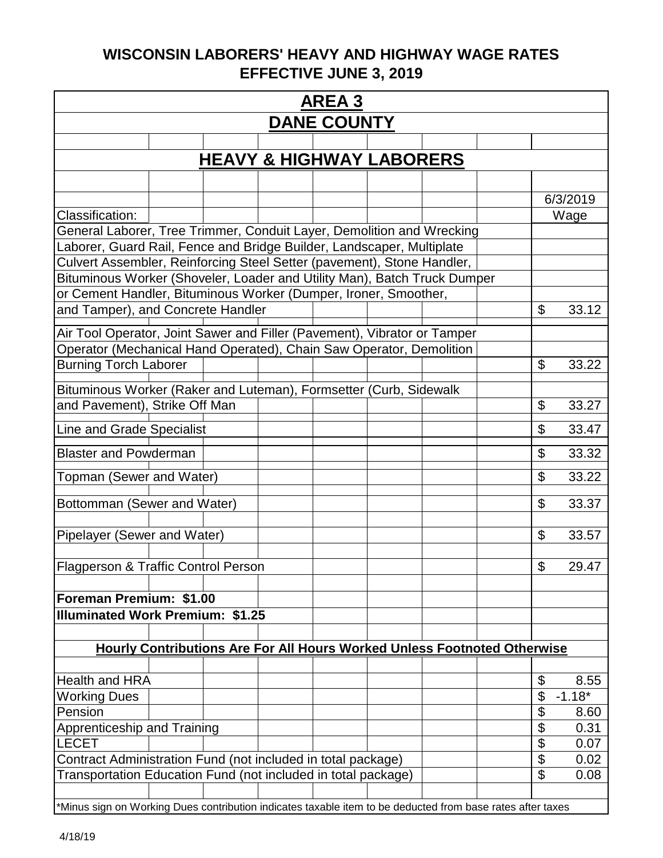| <b>AREA3</b>                                                                                               |  |  |  |  |  |                                                                                 |  |                           |          |
|------------------------------------------------------------------------------------------------------------|--|--|--|--|--|---------------------------------------------------------------------------------|--|---------------------------|----------|
| <b>DANE COUNTY</b>                                                                                         |  |  |  |  |  |                                                                                 |  |                           |          |
|                                                                                                            |  |  |  |  |  |                                                                                 |  |                           |          |
| <b>HEAVY &amp; HIGHWAY LABORERS</b>                                                                        |  |  |  |  |  |                                                                                 |  |                           |          |
|                                                                                                            |  |  |  |  |  |                                                                                 |  |                           |          |
|                                                                                                            |  |  |  |  |  |                                                                                 |  |                           | 6/3/2019 |
| Classification:                                                                                            |  |  |  |  |  |                                                                                 |  | Wage                      |          |
| General Laborer, Tree Trimmer, Conduit Layer, Demolition and Wrecking                                      |  |  |  |  |  |                                                                                 |  |                           |          |
| Laborer, Guard Rail, Fence and Bridge Builder, Landscaper, Multiplate                                      |  |  |  |  |  |                                                                                 |  |                           |          |
| Culvert Assembler, Reinforcing Steel Setter (pavement), Stone Handler,                                     |  |  |  |  |  |                                                                                 |  |                           |          |
| Bituminous Worker (Shoveler, Loader and Utility Man), Batch Truck Dumper                                   |  |  |  |  |  |                                                                                 |  |                           |          |
| or Cement Handler, Bituminous Worker (Dumper, Ironer, Smoother,                                            |  |  |  |  |  |                                                                                 |  |                           |          |
| and Tamper), and Concrete Handler                                                                          |  |  |  |  |  |                                                                                 |  | \$                        | 33.12    |
| Air Tool Operator, Joint Sawer and Filler (Pavement), Vibrator or Tamper                                   |  |  |  |  |  |                                                                                 |  |                           |          |
| Operator (Mechanical Hand Operated), Chain Saw Operator, Demolition                                        |  |  |  |  |  |                                                                                 |  |                           |          |
| <b>Burning Torch Laborer</b>                                                                               |  |  |  |  |  |                                                                                 |  | $\boldsymbol{\mathsf{S}}$ | 33.22    |
|                                                                                                            |  |  |  |  |  |                                                                                 |  |                           |          |
| Bituminous Worker (Raker and Luteman), Formsetter (Curb, Sidewalk                                          |  |  |  |  |  |                                                                                 |  |                           |          |
| and Pavement), Strike Off Man                                                                              |  |  |  |  |  |                                                                                 |  | \$                        | 33.27    |
| Line and Grade Specialist                                                                                  |  |  |  |  |  |                                                                                 |  | \$                        | 33.47    |
| <b>Blaster and Powderman</b>                                                                               |  |  |  |  |  |                                                                                 |  | \$                        | 33.32    |
| Topman (Sewer and Water)                                                                                   |  |  |  |  |  |                                                                                 |  | \$                        | 33.22    |
|                                                                                                            |  |  |  |  |  |                                                                                 |  |                           |          |
| Bottomman (Sewer and Water)                                                                                |  |  |  |  |  |                                                                                 |  | \$                        | 33.37    |
| Pipelayer (Sewer and Water)                                                                                |  |  |  |  |  |                                                                                 |  | \$                        | 33.57    |
| Flagperson & Traffic Control Person                                                                        |  |  |  |  |  |                                                                                 |  | \$                        | 29.47    |
|                                                                                                            |  |  |  |  |  |                                                                                 |  |                           |          |
| Foreman Premium: \$1.00                                                                                    |  |  |  |  |  |                                                                                 |  |                           |          |
| <b>Illuminated Work Premium: \$1.25</b>                                                                    |  |  |  |  |  |                                                                                 |  |                           |          |
|                                                                                                            |  |  |  |  |  |                                                                                 |  |                           |          |
|                                                                                                            |  |  |  |  |  | <b>Hourly Contributions Are For All Hours Worked Unless Footnoted Otherwise</b> |  |                           |          |
|                                                                                                            |  |  |  |  |  |                                                                                 |  |                           |          |
| <b>Health and HRA</b>                                                                                      |  |  |  |  |  |                                                                                 |  | \$                        | 8.55     |
| <b>Working Dues</b>                                                                                        |  |  |  |  |  |                                                                                 |  | \$                        | $-1.18*$ |
| Pension                                                                                                    |  |  |  |  |  |                                                                                 |  | \$                        | 8.60     |
| Apprenticeship and Training                                                                                |  |  |  |  |  |                                                                                 |  | \$                        | 0.31     |
| <b>LECET</b>                                                                                               |  |  |  |  |  |                                                                                 |  | \$                        | 0.07     |
| Contract Administration Fund (not included in total package)                                               |  |  |  |  |  |                                                                                 |  | \$                        | 0.02     |
| Transportation Education Fund (not included in total package)                                              |  |  |  |  |  |                                                                                 |  | $\mathfrak{L}$            | 0.08     |
| *Minus sign on Working Dues contribution indicates taxable item to be deducted from base rates after taxes |  |  |  |  |  |                                                                                 |  |                           |          |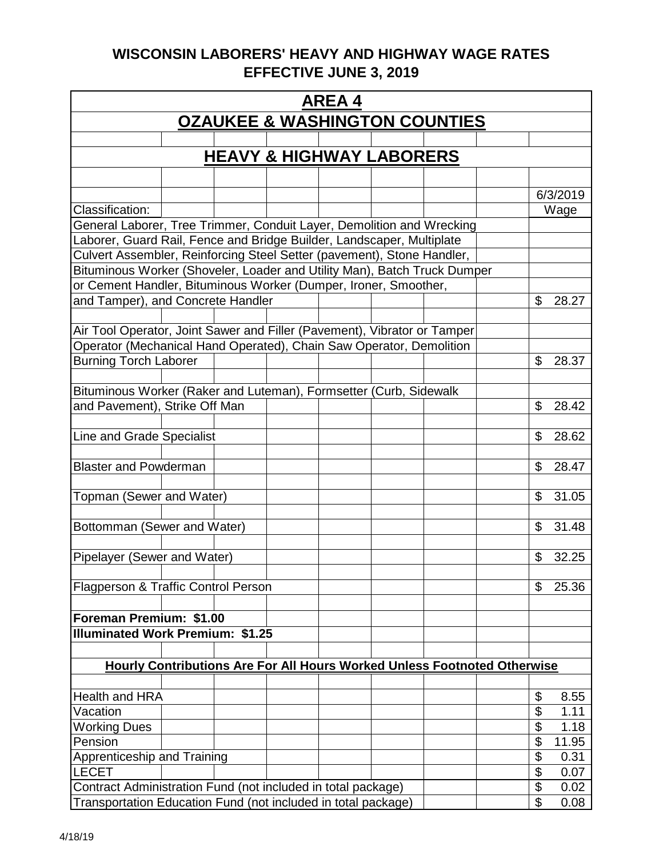| <b>AREA4</b>                                                                                       |                          |  |  |  |  |  |  |  |  |
|----------------------------------------------------------------------------------------------------|--------------------------|--|--|--|--|--|--|--|--|
| <b>OZAUKEE &amp; WASHINGTON COUNTIES</b>                                                           |                          |  |  |  |  |  |  |  |  |
|                                                                                                    |                          |  |  |  |  |  |  |  |  |
| <b>HEAVY &amp; HIGHWAY LABORERS</b>                                                                |                          |  |  |  |  |  |  |  |  |
|                                                                                                    |                          |  |  |  |  |  |  |  |  |
|                                                                                                    | 6/3/2019                 |  |  |  |  |  |  |  |  |
| Classification:                                                                                    | Wage                     |  |  |  |  |  |  |  |  |
| General Laborer, Tree Trimmer, Conduit Layer, Demolition and Wrecking                              |                          |  |  |  |  |  |  |  |  |
| Laborer, Guard Rail, Fence and Bridge Builder, Landscaper, Multiplate                              |                          |  |  |  |  |  |  |  |  |
| Culvert Assembler, Reinforcing Steel Setter (pavement), Stone Handler,                             |                          |  |  |  |  |  |  |  |  |
| Bituminous Worker (Shoveler, Loader and Utility Man), Batch Truck Dumper                           |                          |  |  |  |  |  |  |  |  |
| or Cement Handler, Bituminous Worker (Dumper, Ironer, Smoother,                                    |                          |  |  |  |  |  |  |  |  |
| and Tamper), and Concrete Handler                                                                  | \$<br>28.27              |  |  |  |  |  |  |  |  |
|                                                                                                    |                          |  |  |  |  |  |  |  |  |
| Air Tool Operator, Joint Sawer and Filler (Pavement), Vibrator or Tamper                           |                          |  |  |  |  |  |  |  |  |
| Operator (Mechanical Hand Operated), Chain Saw Operator, Demolition                                |                          |  |  |  |  |  |  |  |  |
| <b>Burning Torch Laborer</b>                                                                       | \$<br>28.37              |  |  |  |  |  |  |  |  |
|                                                                                                    |                          |  |  |  |  |  |  |  |  |
| Bituminous Worker (Raker and Luteman), Formsetter (Curb, Sidewalk<br>and Pavement), Strike Off Man | \$<br>28.42              |  |  |  |  |  |  |  |  |
|                                                                                                    |                          |  |  |  |  |  |  |  |  |
| Line and Grade Specialist                                                                          | \$<br>28.62              |  |  |  |  |  |  |  |  |
|                                                                                                    |                          |  |  |  |  |  |  |  |  |
| <b>Blaster and Powderman</b>                                                                       | \$<br>28.47              |  |  |  |  |  |  |  |  |
|                                                                                                    |                          |  |  |  |  |  |  |  |  |
| Topman (Sewer and Water)                                                                           | \$<br>31.05              |  |  |  |  |  |  |  |  |
|                                                                                                    |                          |  |  |  |  |  |  |  |  |
| Bottomman (Sewer and Water)                                                                        | \$<br>31.48              |  |  |  |  |  |  |  |  |
|                                                                                                    |                          |  |  |  |  |  |  |  |  |
| Pipelayer (Sewer and Water)                                                                        | \$<br>32.25              |  |  |  |  |  |  |  |  |
|                                                                                                    |                          |  |  |  |  |  |  |  |  |
| Flagperson & Traffic Control Person                                                                | \$<br>25.36              |  |  |  |  |  |  |  |  |
|                                                                                                    |                          |  |  |  |  |  |  |  |  |
| Foreman Premium: \$1.00                                                                            |                          |  |  |  |  |  |  |  |  |
| <b>Illuminated Work Premium: \$1.25</b>                                                            |                          |  |  |  |  |  |  |  |  |
|                                                                                                    |                          |  |  |  |  |  |  |  |  |
| Hourly Contributions Are For All Hours Worked Unless Footnoted Otherwise                           |                          |  |  |  |  |  |  |  |  |
|                                                                                                    |                          |  |  |  |  |  |  |  |  |
| <b>Health and HRA</b>                                                                              | \$<br>8.55               |  |  |  |  |  |  |  |  |
| Vacation<br><b>Working Dues</b>                                                                    | \$<br>1.11<br>\$<br>1.18 |  |  |  |  |  |  |  |  |
| Pension                                                                                            | \$<br>11.95              |  |  |  |  |  |  |  |  |
| Apprenticeship and Training                                                                        | \$<br>0.31               |  |  |  |  |  |  |  |  |
| LECET                                                                                              | \$<br>0.07               |  |  |  |  |  |  |  |  |
| Contract Administration Fund (not included in total package)                                       | \$<br>0.02               |  |  |  |  |  |  |  |  |
| Transportation Education Fund (not included in total package)                                      | \$<br>0.08               |  |  |  |  |  |  |  |  |